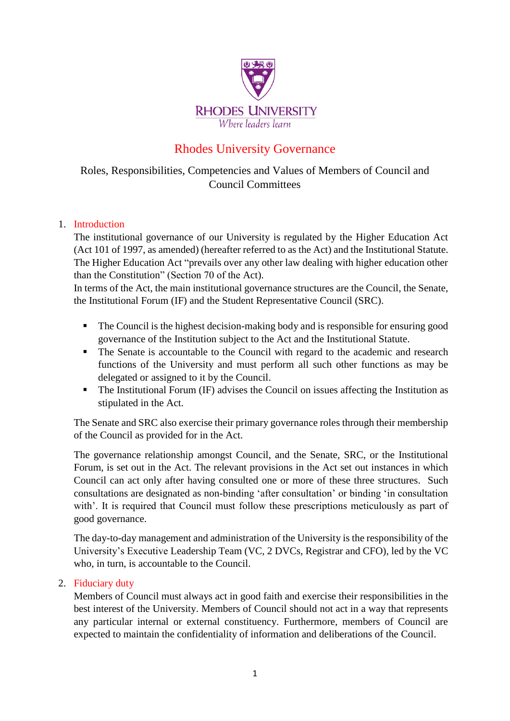

# Rhodes University Governance

### Roles, Responsibilities, Competencies and Values of Members of Council and Council Committees

### 1. Introduction

The institutional governance of our University is regulated by the Higher Education Act (Act 101 of 1997, as amended) (hereafter referred to as the Act) and the Institutional Statute. The Higher Education Act "prevails over any other law dealing with higher education other than the Constitution" (Section 70 of the Act).

In terms of the Act, the main institutional governance structures are the Council, the Senate, the Institutional Forum (IF) and the Student Representative Council (SRC).

- The Council is the highest decision-making body and is responsible for ensuring good governance of the Institution subject to the Act and the Institutional Statute.
- The Senate is accountable to the Council with regard to the academic and research functions of the University and must perform all such other functions as may be delegated or assigned to it by the Council.
- The Institutional Forum (IF) advises the Council on issues affecting the Institution as stipulated in the Act.

The Senate and SRC also exercise their primary governance roles through their membership of the Council as provided for in the Act.

The governance relationship amongst Council, and the Senate, SRC, or the Institutional Forum, is set out in the Act. The relevant provisions in the Act set out instances in which Council can act only after having consulted one or more of these three structures. Such consultations are designated as non-binding 'after consultation' or binding 'in consultation with'. It is required that Council must follow these prescriptions meticulously as part of good governance.

The day-to-day management and administration of the University is the responsibility of the University's Executive Leadership Team (VC, 2 DVCs, Registrar and CFO), led by the VC who, in turn, is accountable to the Council.

#### 2. Fiduciary duty

Members of Council must always act in good faith and exercise their responsibilities in the best interest of the University. Members of Council should not act in a way that represents any particular internal or external constituency. Furthermore, members of Council are expected to maintain the confidentiality of information and deliberations of the Council.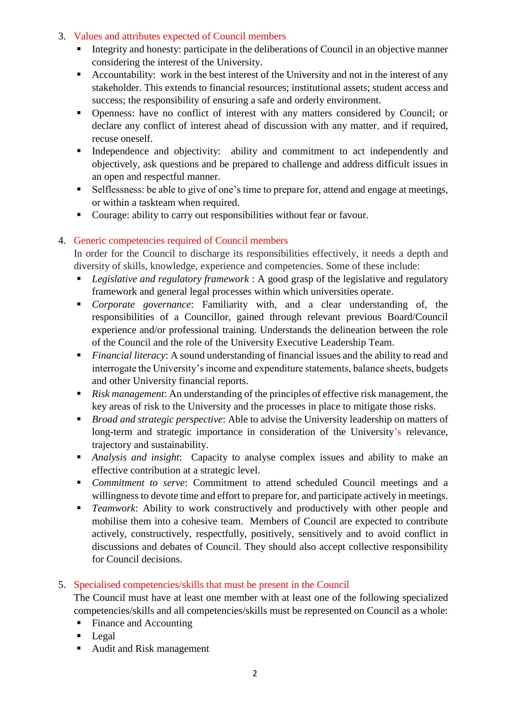#### 3. Values and attributes expected of Council members

- Integrity and honesty: participate in the deliberations of Council in an objective manner considering the interest of the University.
- Accountability: work in the best interest of the University and not in the interest of any stakeholder. This extends to financial resources; institutional assets; student access and success; the responsibility of ensuring a safe and orderly environment.
- Openness: have no conflict of interest with any matters considered by Council; or declare any conflict of interest ahead of discussion with any matter, and if required, recuse oneself.
- **■** Independence and objectivity: ability and commitment to act independently and objectively, ask questions and be prepared to challenge and address difficult issues in an open and respectful manner.
- Selflessness: be able to give of one's time to prepare for, attend and engage at meetings, or within a taskteam when required.
- Courage: ability to carry out responsibilities without fear or favour.

### 4. Generic competencies required of Council members

In order for the Council to discharge its responsibilities effectively, it needs a depth and diversity of skills, knowledge, experience and competencies. Some of these include:

- *Legislative and regulatory framework* : A good grasp of the legislative and regulatory framework and general legal processes within which universities operate.
- *Corporate governance*: Familiarity with, and a clear understanding of, the responsibilities of a Councillor, gained through relevant previous Board/Council experience and/or professional training. Understands the delineation between the role of the Council and the role of the University Executive Leadership Team.
- *Financial literacy*: A sound understanding of financial issues and the ability to read and interrogate the University's income and expenditure statements, balance sheets, budgets and other University financial reports.
- *Risk management*: An understanding of the principles of effective risk management, the key areas of risk to the University and the processes in place to mitigate those risks.
- *Broad and strategic perspective*: Able to advise the University leadership on matters of long-term and strategic importance in consideration of the University's relevance, trajectory and sustainability.
- *Analysis and insight*: Capacity to analyse complex issues and ability to make an effective contribution at a strategic level.
- *Commitment to serve*: Commitment to attend scheduled Council meetings and a willingness to devote time and effort to prepare for, and participate actively in meetings.
- *Teamwork*: Ability to work constructively and productively with other people and mobilise them into a cohesive team. Members of Council are expected to contribute actively, constructively, respectfully, positively, sensitively and to avoid conflict in discussions and debates of Council. They should also accept collective responsibility for Council decisions.
- 5. Specialised competencies/skills that must be present in the Council

The Council must have at least one member with at least one of the following specialized competencies/skills and all competencies/skills must be represented on Council as a whole:

- Finance and Accounting
- Legal
- Audit and Risk management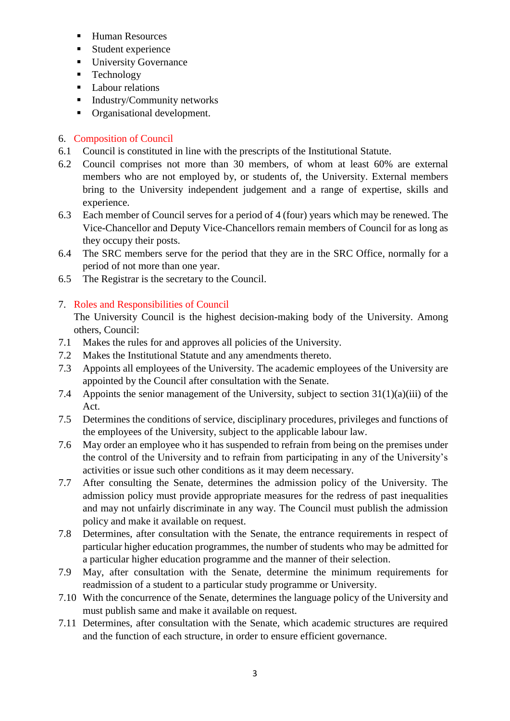- Human Resources
- Student experience
- **■** University Governance
- Technology
- Labour relations
- Industry/Community networks
- Organisational development.

### 6. Composition of Council

- 6.1 Council is constituted in line with the prescripts of the Institutional Statute.
- 6.2 Council comprises not more than 30 members, of whom at least 60% are external members who are not employed by, or students of, the University. External members bring to the University independent judgement and a range of expertise, skills and experience.
- 6.3 Each member of Council serves for a period of 4 (four) years which may be renewed. The Vice-Chancellor and Deputy Vice-Chancellors remain members of Council for as long as they occupy their posts.
- 6.4 The SRC members serve for the period that they are in the SRC Office, normally for a period of not more than one year.
- 6.5 The Registrar is the secretary to the Council.

## 7. Roles and Responsibilities of Council

The University Council is the highest decision-making body of the University. Among others, Council:

- 7.1 Makes the rules for and approves all policies of the University.
- 7.2 Makes the Institutional Statute and any amendments thereto.
- 7.3 Appoints all employees of the University. The academic employees of the University are appointed by the Council after consultation with the Senate.
- 7.4 Appoints the senior management of the University, subject to section  $31(1)(a)(iii)$  of the Act.
- 7.5 Determines the conditions of service, disciplinary procedures, privileges and functions of the employees of the University, subject to the applicable labour law.
- 7.6 May order an employee who it has suspended to refrain from being on the premises under the control of the University and to refrain from participating in any of the University's activities or issue such other conditions as it may deem necessary.
- 7.7 After consulting the Senate, determines the admission policy of the University. The admission policy must provide appropriate measures for the redress of past inequalities and may not unfairly discriminate in any way. The Council must publish the admission policy and make it available on request.
- 7.8 Determines, after consultation with the Senate, the entrance requirements in respect of particular higher education programmes, the number of students who may be admitted for a particular higher education programme and the manner of their selection.
- 7.9 May, after consultation with the Senate, determine the minimum requirements for readmission of a student to a particular study programme or University.
- 7.10 With the concurrence of the Senate, determines the language policy of the University and must publish same and make it available on request.
- 7.11 Determines, after consultation with the Senate, which academic structures are required and the function of each structure, in order to ensure efficient governance.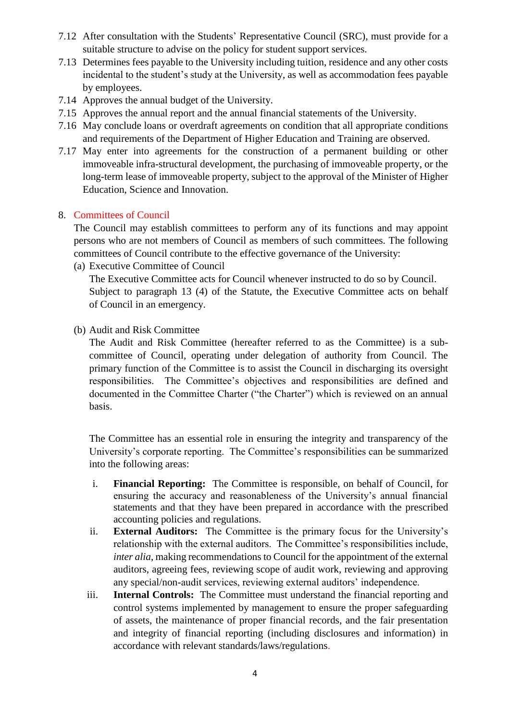- 7.12 After consultation with the Students' Representative Council (SRC), must provide for a suitable structure to advise on the policy for student support services.
- 7.13 Determines fees payable to the University including tuition, residence and any other costs incidental to the student's study at the University, as well as accommodation fees payable by employees.
- 7.14 Approves the annual budget of the University.
- 7.15 Approves the annual report and the annual financial statements of the University.
- 7.16 May conclude loans or overdraft agreements on condition that all appropriate conditions and requirements of the Department of Higher Education and Training are observed.
- 7.17 May enter into agreements for the construction of a permanent building or other immoveable infra-structural development, the purchasing of immoveable property, or the long-term lease of immoveable property, subject to the approval of the Minister of Higher Education, Science and Innovation.

#### 8. Committees of Council

The Council may establish committees to perform any of its functions and may appoint persons who are not members of Council as members of such committees. The following committees of Council contribute to the effective governance of the University:

(a) Executive Committee of Council

The Executive Committee acts for Council whenever instructed to do so by Council. Subject to paragraph 13 (4) of the Statute, the Executive Committee acts on behalf of Council in an emergency.

(b) Audit and Risk Committee

The Audit and Risk Committee (hereafter referred to as the Committee) is a subcommittee of Council, operating under delegation of authority from Council. The primary function of the Committee is to assist the Council in discharging its oversight responsibilities. The Committee's objectives and responsibilities are defined and documented in the Committee Charter ("the Charter") which is reviewed on an annual basis.

The Committee has an essential role in ensuring the integrity and transparency of the University's corporate reporting. The Committee's responsibilities can be summarized into the following areas:

- i. **Financial Reporting:** The Committee is responsible, on behalf of Council, for ensuring the accuracy and reasonableness of the University's annual financial statements and that they have been prepared in accordance with the prescribed accounting policies and regulations.
- ii. **External Auditors:** The Committee is the primary focus for the University's relationship with the external auditors. The Committee's responsibilities include, *inter alia*, making recommendations to Council for the appointment of the external auditors, agreeing fees, reviewing scope of audit work, reviewing and approving any special/non-audit services, reviewing external auditors' independence.
- iii. **Internal Controls:** The Committee must understand the financial reporting and control systems implemented by management to ensure the proper safeguarding of assets, the maintenance of proper financial records, and the fair presentation and integrity of financial reporting (including disclosures and information) in accordance with relevant standards/laws/regulations.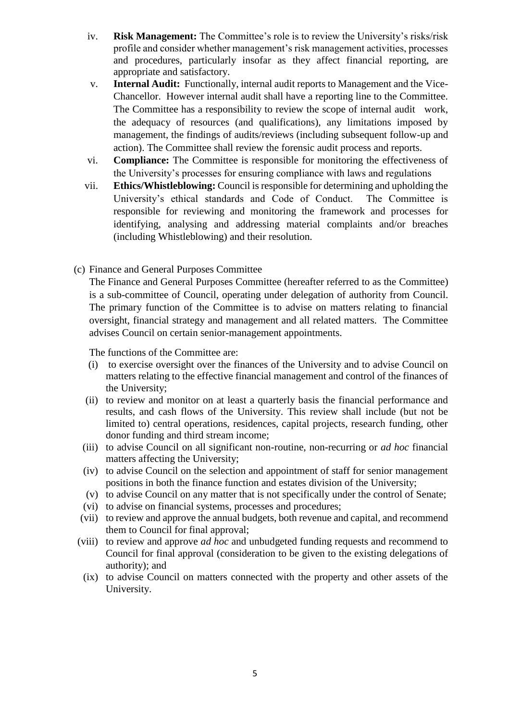- iv. **Risk Management:** The Committee's role is to review the University's risks/risk profile and consider whether management's risk management activities, processes and procedures, particularly insofar as they affect financial reporting, are appropriate and satisfactory.
- v. **Internal Audit:** Functionally, internal audit reports to Management and the Vice-Chancellor. However internal audit shall have a reporting line to the Committee. The Committee has a responsibility to review the scope of internal audit work, the adequacy of resources (and qualifications), any limitations imposed by management, the findings of audits/reviews (including subsequent follow-up and action). The Committee shall review the forensic audit process and reports.
- vi. **Compliance:** The Committee is responsible for monitoring the effectiveness of the University's processes for ensuring compliance with laws and regulations
- vii. **Ethics/Whistleblowing:** Council is responsible for determining and upholding the University's ethical standards and Code of Conduct. The Committee is responsible for reviewing and monitoring the framework and processes for identifying, analysing and addressing material complaints and/or breaches (including Whistleblowing) and their resolution.
- (c) Finance and General Purposes Committee

The Finance and General Purposes Committee (hereafter referred to as the Committee) is a sub-committee of Council, operating under delegation of authority from Council. The primary function of the Committee is to advise on matters relating to financial oversight, financial strategy and management and all related matters. The Committee advises Council on certain senior-management appointments.

The functions of the Committee are:

- (i) to exercise oversight over the finances of the University and to advise Council on matters relating to the effective financial management and control of the finances of the University;
- (ii) to review and monitor on at least a quarterly basis the financial performance and results, and cash flows of the University. This review shall include (but not be limited to) central operations, residences, capital projects, research funding, other donor funding and third stream income;
- (iii) to advise Council on all significant non-routine, non-recurring or *ad hoc* financial matters affecting the University;
- (iv) to advise Council on the selection and appointment of staff for senior management positions in both the finance function and estates division of the University;
- (v) to advise Council on any matter that is not specifically under the control of Senate;
- (vi) to advise on financial systems, processes and procedures;
- (vii) to review and approve the annual budgets, both revenue and capital, and recommend them to Council for final approval;
- (viii) to review and approve *ad hoc* and unbudgeted funding requests and recommend to Council for final approval (consideration to be given to the existing delegations of authority); and
- (ix) to advise Council on matters connected with the property and other assets of the University.